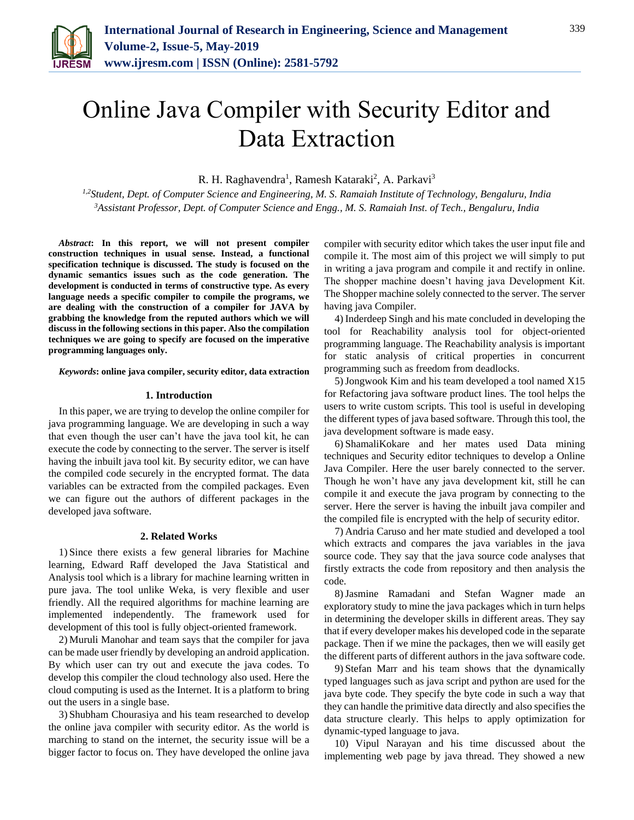

# Online Java Compiler with Security Editor and Data Extraction

R. H. Raghavendra<sup>1</sup>, Ramesh Kataraki<sup>2</sup>, A. Parkavi<sup>3</sup>

*1,2Student, Dept. of Computer Science and Engineering, M. S. Ramaiah Institute of Technology, Bengaluru, India <sup>3</sup>Assistant Professor, Dept. of Computer Science and Engg., M. S. Ramaiah Inst. of Tech., Bengaluru, India*

*Abstract***: In this report, we will not present compiler construction techniques in usual sense. Instead, a functional specification technique is discussed. The study is focused on the dynamic semantics issues such as the code generation. The development is conducted in terms of constructive type. As every language needs a specific compiler to compile the programs, we are dealing with the construction of a compiler for JAVA by grabbing the knowledge from the reputed authors which we will discuss in the following sections in this paper. Also the compilation techniques we are going to specify are focused on the imperative programming languages only.**

*Keywords***: online java compiler, security editor, data extraction**

#### **1. Introduction**

In this paper, we are trying to develop the online compiler for java programming language. We are developing in such a way that even though the user can't have the java tool kit, he can execute the code by connecting to the server. The server is itself having the inbuilt java tool kit. By security editor, we can have the compiled code securely in the encrypted format. The data variables can be extracted from the compiled packages. Even we can figure out the authors of different packages in the developed java software.

## **2. Related Works**

1) Since there exists a few general libraries for Machine learning, Edward Raff developed the Java Statistical and Analysis tool which is a library for machine learning written in pure java. The tool unlike Weka, is very flexible and user friendly. All the required algorithms for machine learning are implemented independently. The framework used for development of this tool is fully object-oriented framework.

2) Muruli Manohar and team says that the compiler for java can be made user friendly by developing an android application. By which user can try out and execute the java codes. To develop this compiler the cloud technology also used. Here the cloud computing is used as the Internet. It is a platform to bring out the users in a single base.

3) Shubham Chourasiya and his team researched to develop the online java compiler with security editor. As the world is marching to stand on the internet, the security issue will be a bigger factor to focus on. They have developed the online java compiler with security editor which takes the user input file and compile it. The most aim of this project we will simply to put in writing a java program and compile it and rectify in online. The shopper machine doesn't having java Development Kit. The Shopper machine solely connected to the server. The server having java Compiler.

4) Inderdeep Singh and his mate concluded in developing the tool for Reachability analysis tool for object-oriented programming language. The Reachability analysis is important for static analysis of critical properties in concurrent programming such as freedom from deadlocks.

5)Jongwook Kim and his team developed a tool named X15 for Refactoring java software product lines. The tool helps the users to write custom scripts. This tool is useful in developing the different types of java based software. Through this tool, the java development software is made easy.

6) ShamaliKokare and her mates used Data mining techniques and Security editor techniques to develop a Online Java Compiler. Here the user barely connected to the server. Though he won't have any java development kit, still he can compile it and execute the java program by connecting to the server. Here the server is having the inbuilt java compiler and the compiled file is encrypted with the help of security editor.

7) Andria Caruso and her mate studied and developed a tool which extracts and compares the java variables in the java source code. They say that the java source code analyses that firstly extracts the code from repository and then analysis the code.

8)Jasmine Ramadani and Stefan Wagner made an exploratory study to mine the java packages which in turn helps in determining the developer skills in different areas. They say that if every developer makes his developed code in the separate package. Then if we mine the packages, then we will easily get the different parts of different authors in the java software code.

9) Stefan Marr and his team shows that the dynamically typed languages such as java script and python are used for the java byte code. They specify the byte code in such a way that they can handle the primitive data directly and also specifies the data structure clearly. This helps to apply optimization for dynamic-typed language to java.

10) Vipul Narayan and his time discussed about the implementing web page by java thread. They showed a new